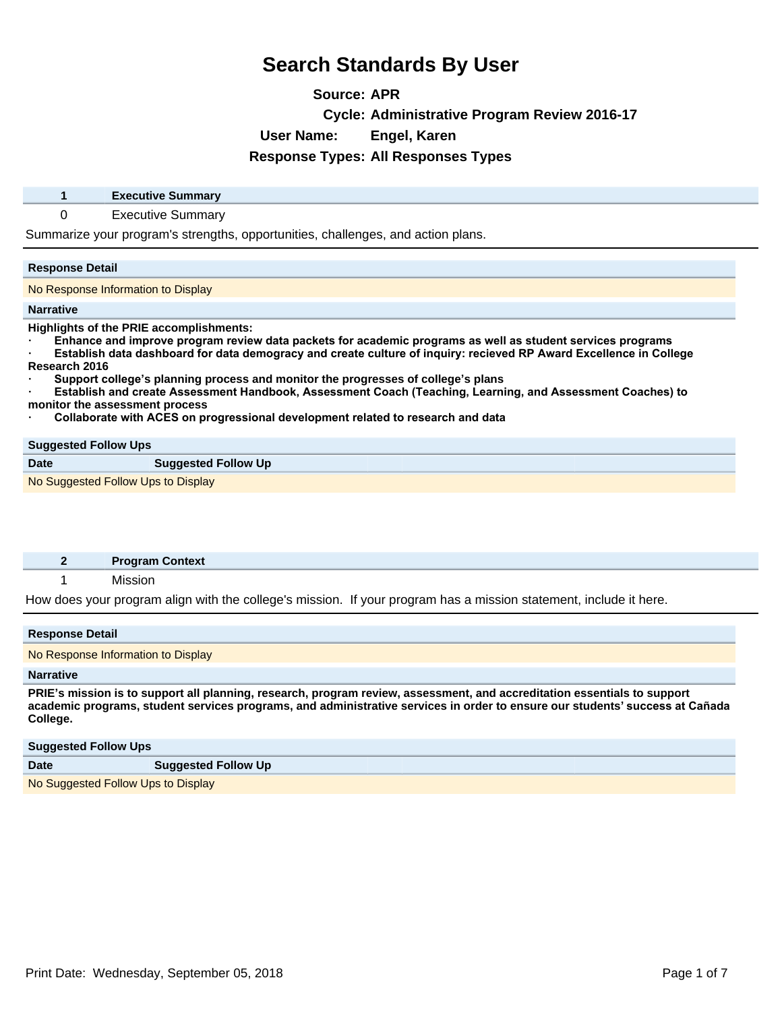**Source: APR**

**Cycle: Administrative Program Review 2016-17**

**User Name: Engel, Karen**

## **Response Types: All Responses Types**

| <b>Executive Summary</b> |  |
|--------------------------|--|
|                          |  |

0 Executive Summary

Summarize your program's strengths, opportunities, challenges, and action plans.

### **Response Detail**

No Response Information to Display

#### **Narrative**

**Highlights of the PRIE accomplishments:**

Enhance and improve program review data packets for academic programs as well as student services programs

**Establish data dashboard for data demogracy and create culture of inquiry: recieved RP Award Excellence in College Research 2016**

**ā6XSSRUWFROOHJH¶s planning process and monitor the progresses of college¶s plans**

**Establish and create Assessment Handbook, Assessment Coach (Teaching, Learning, and Assessment Coaches) to monitor the assessment process**

**Collaborate with ACES on progressional development related to research and data** 

#### **Suggested Follow Ups**

**Date Suggested Follow Up** 

No Suggested Follow Ups to Display

|  | <b>Program Context</b> |  |
|--|------------------------|--|
|  |                        |  |

1 Mission

How does your program align with the college's mission. If your program has a mission statement, include it here.

| <b>Response Detail</b>                                                                                                                                                                                                                                               |  |
|----------------------------------------------------------------------------------------------------------------------------------------------------------------------------------------------------------------------------------------------------------------------|--|
| No Response Information to Display                                                                                                                                                                                                                                   |  |
| <b>Narrative</b>                                                                                                                                                                                                                                                     |  |
| PRIE's mission is to support all planning, research, program review, assessment, and accreditation essentials to support<br>academic programs, student services programs, and administrative services in order to ensure our students' success at Cañada<br>College. |  |

| <b>Suggested Follow Ups</b>        |                            |
|------------------------------------|----------------------------|
| <b>Date</b>                        | <b>Suggested Follow Up</b> |
| No Suggested Follow Ups to Display |                            |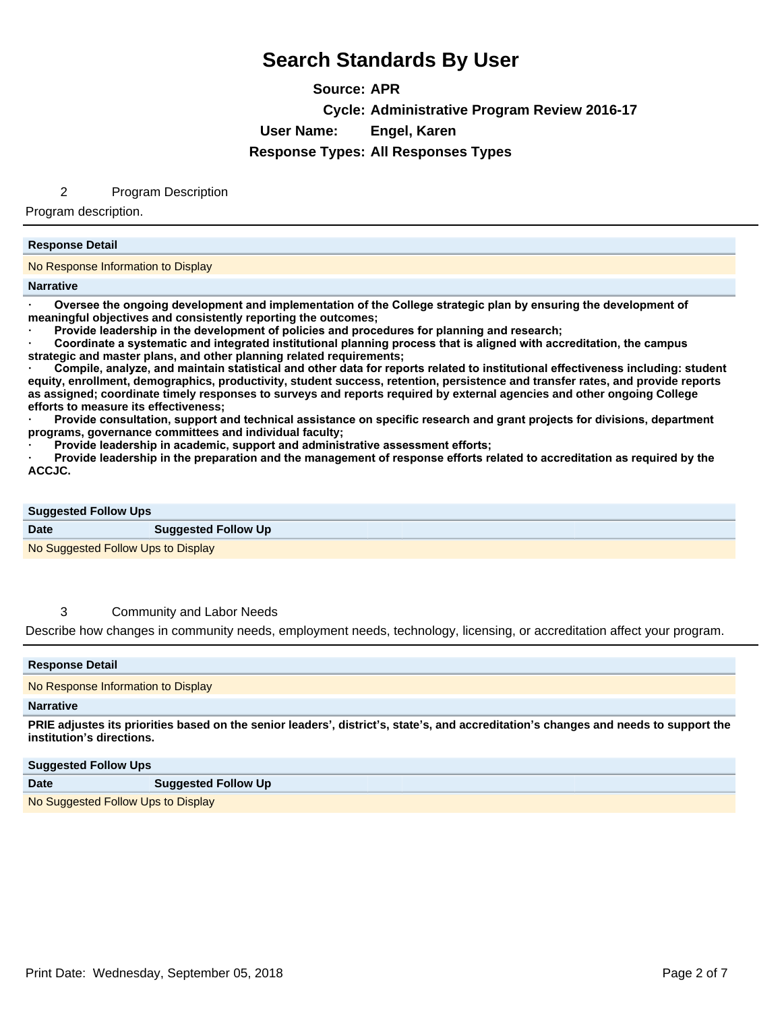**Source: APR Cycle: Administrative Program Review 2016-17 User Name: Engel, Karen Response Types: All Responses Types**

## 2 Program Description

Program description.

### **Response Detail**

No Response Information to Display

#### **Narrative**

Oversee the ongoing development and implementation of the College strategic plan by ensuring the development of **meaningful objectives and consistently reporting the outcomes;** 

Provide leadership in the development of policies and procedures for planning and research;

Coordinate a systematic and integrated institutional planning process that is aligned with accreditation, the campus **strategic and master plans, and other planning related requirements;** 

Compile, analyze, and maintain statistical and other data for reports related to institutional effectiveness including: student **equity, enrollment, demographics, productivity, student success, retention, persistence and transfer rates, and provide reports as assigned; coordinate timely responses to surveys and reports required by external agencies and other ongoing College efforts to measure its effectiveness;** 

Provide consultation, support and technical assistance on specific research and grant projects for divisions, department **programs, governance committees and individual faculty;** 

Provide leadership in academic, support and administrative assessment efforts;

Provide leadership in the preparation and the management of response efforts related to accreditation as required by the **ACCJC.** 

| <b>Suggested Follow Ups</b>        |                            |  |
|------------------------------------|----------------------------|--|
| <b>Date</b>                        | <b>Suggested Follow Up</b> |  |
| No Suggested Follow Ups to Display |                            |  |

## 3 Community and Labor Needs

Describe how changes in community needs, employment needs, technology, licensing, or accreditation affect your program.

| <b>Response Detail</b>                                                                                                                                            |  |
|-------------------------------------------------------------------------------------------------------------------------------------------------------------------|--|
| No Response Information to Display                                                                                                                                |  |
| <b>Narrative</b>                                                                                                                                                  |  |
| PRIE adjustes its priorities based on the senior leaders', district's, state's, and accreditation's changes and needs to support the<br>institution's directions. |  |

#### **Suggested Follow Ups**

| ---         |                                    |
|-------------|------------------------------------|
| <b>Date</b> | <b>Suggested Follow Up</b>         |
|             | No Suggested Follow Ups to Display |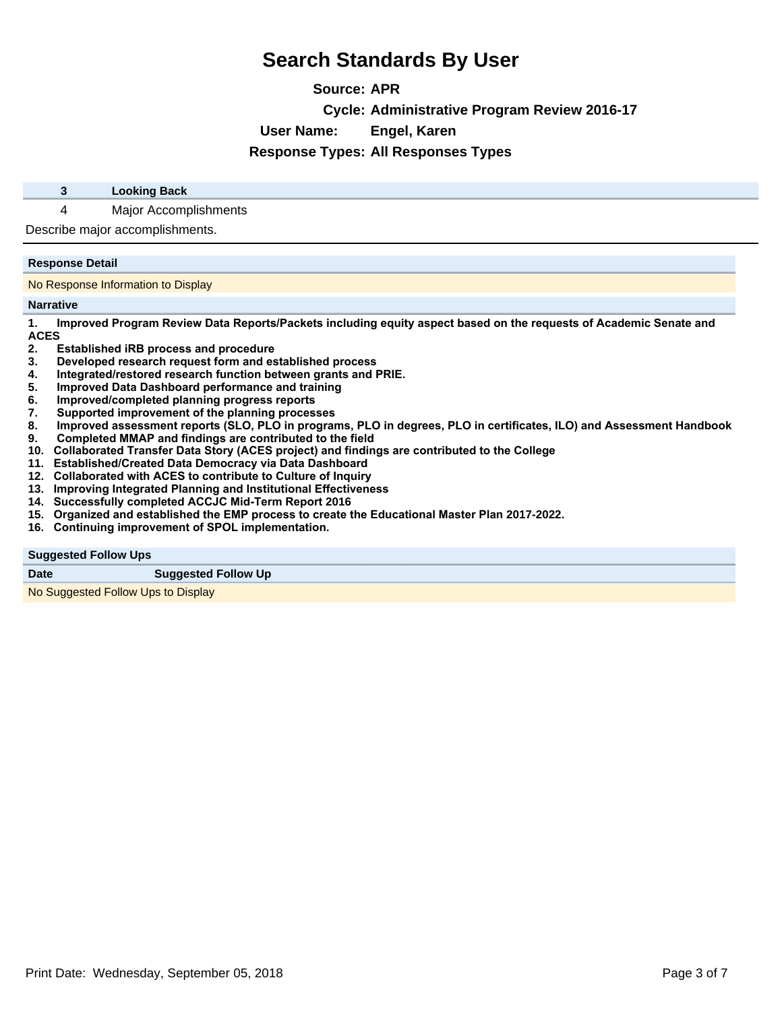**Source: APR Cycle: Administrative Program Review 2016-17 User Name: Engel, Karen**

**Response Types: All Responses Types**

## **3 Looking Back**

4 Major Accomplishments

Describe major accomplishments.

#### **Response Detail**

No Response Information to Display

#### **Narrative**

1. Improved Program Review Data Reports/Packets including equity aspect based on the requests of Academic Senate and **ACES**

- **2.** Established iRB process and procedure<br>3. Developed research request form and es
- **Developed research request form and established process**
- **4.** Integrated/restored research function between grants and PRIE.
- **5.** Improved Data Dashboard performance and training
- **6.** Improved/completed planning progress reports<br>**7.** Supported improvement of the planning proces
- **Supported improvement of the planning processes**
- 8. Improved assessment reports (SLO, PLO in programs, PLO in degrees, PLO in certificates, ILO) and Assessment Handbook
- 9. Completed MMAP and findings are contributed to the field
- 10. Collaborated Transfer Data Story (ACES project) and findings are contributed to the College
- 11. Established/Created Data Democracy via Data Dashboard
- 12. Collaborated with ACES to contribute to Culture of Inquiry
- 13. Improving Integrated Planning and Institutional Effectiveness

**Suggested Follow Up** 

- 14. Successfully completed ACCJC Mid-Term Report 2016
- 15. Organized and established the EMP process to create the Educational Master Plan 2017-2022.
- 16. Continuing improvement of SPOL implementation.

**Suggested Follow Ups**

|--|

No Suggested Follow Ups to Display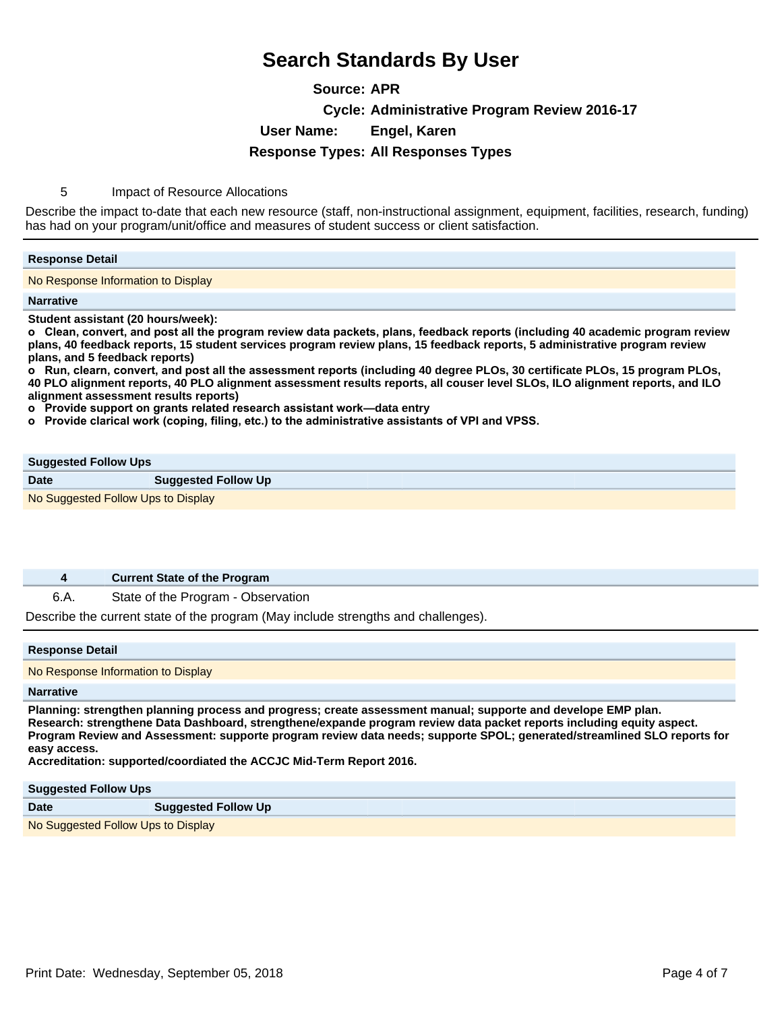**Source: APR Cycle: Administrative Program Review 2016-17 User Name: Engel, Karen Response Types: All Responses Types**

5 Impact of Resource Allocations

Describe the impact to-date that each new resource (staff, non-instructional assignment, equipment, facilities, research, funding) has had on your program/unit/office and measures of student success or client satisfaction.

#### **Response Detail**

No Response Information to Display

**Narrative**

**Student assistant (20 hours/week):** 

 $\alpha$  Clean, convert, and post all the program review data packets, plans, feedback reports (including 40 academic program review **plans, 40 feedback reports, 15 student services program review plans, 15 feedback reports, 5 administrative program review plans, and 5 feedback reports)**

**o** Run, clearn, convert, and post all the assessment reports (including 40 degree PLOs, 30 certificate PLOs, 15 program PLOs, **40 PLO alignment reports, 40 PLO alignment assessment results reports, all couser level SLOs, ILO alignment reports, and ILO alignment assessment results reports)**

**o** Provide support on grants related research assistant work-data entry

o Provide clarical work (coping, filing, etc.) to the administrative assistants of VPI and VPSS.

### **Suggested Follow Ups**

**Date Suggested Follow Up** No Suggested Follow Ups to Display

### **4 Current State of the Program**

6.A. State of the Program - Observation

Describe the current state of the program (May include strengths and challenges).

#### **Response Detail**

No Response Information to Display

#### **Narrative**

**Planning: strengthen planning process and progress; create assessment manual; supporte and develope EMP plan. Research: strengthene Data Dashboard, strengthene/expande program review data packet reports including equity aspect. Program Review and Assessment: supporte program review data needs; supporte SPOL; generated/streamlined SLO reports for easy access.**

**Accreditation: supported/coordiated the ACCJC Mid-Term Report 2016.**

#### **Suggested Follow Ups**

| <b>Date</b>                        | <b>Suggested Follow Up</b> |
|------------------------------------|----------------------------|
| No Suggested Follow Ups to Display |                            |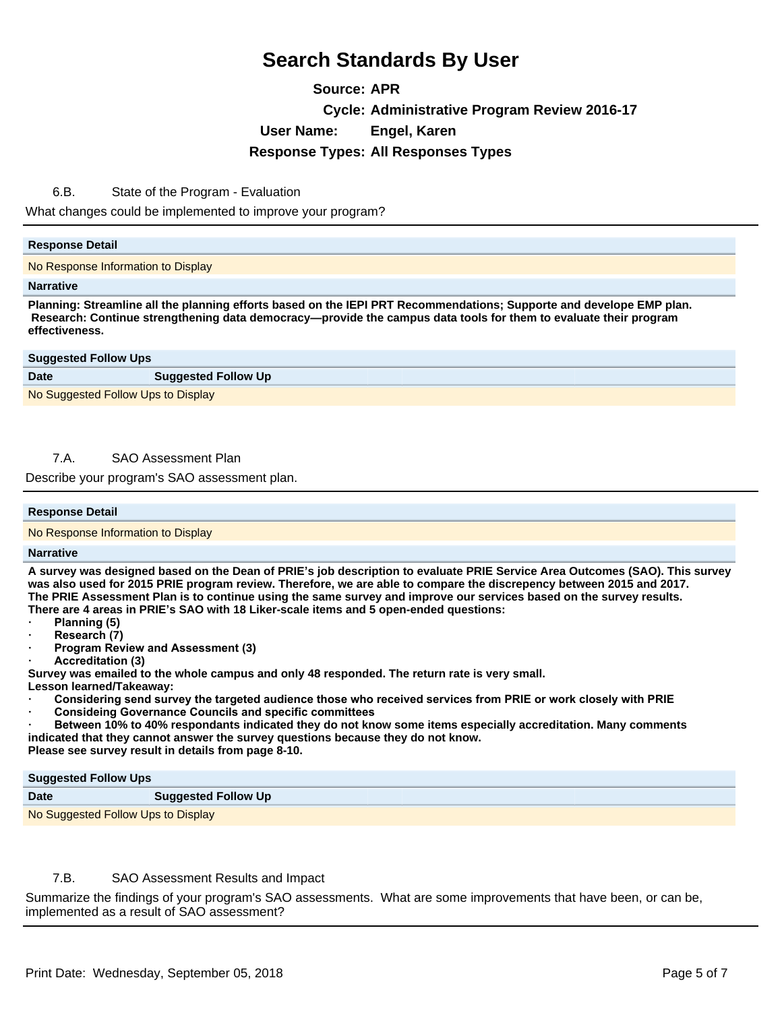**Source: APR Cycle: Administrative Program Review 2016-17 User Name: Engel, Karen Response Types: All Responses Types**

6.B. State of the Program - Evaluation

What changes could be implemented to improve your program?

### **Response Detail**

No Response Information to Display

#### **Narrative**

**Planning: Streamline all the planning efforts based on the IEPI PRT Recommendations; Supporte and develope EMP plan. Research: Continue strengthening data democracy—provide the campus data tools for them to evaluate their program effectiveness.**

| <b>Suggested Follow Ups</b>        |                            |
|------------------------------------|----------------------------|
| <b>Date</b>                        | <b>Suggested Follow Up</b> |
| No Suggested Follow Ups to Display |                            |

## 7.A. SAO Assessment Plan

Describe your program's SAO assessment plan.

### **Response Detail**

No Response Information to Display

#### **Narrative**

**A survey was designed based on the Dean of PRIE¶s job description to evaluate PRIE Service Area Outcomes (SAO). This survey was also used for 2015 PRIE program review. Therefore, we are able to compare the discrepency between 2015 and 2017. The PRIE Assessment Plan is to continue using the same survey and improve our services based on the survey results. There are 4 areas in PRIE¶s SAO with 18 Liker-scale items and 5 open-ended questions:** 

- **Planning** (5)
- **Research (7)**
- **Program Review and Assessment (3)**
- **a**Ccreditation (3)

**Survey was emailed to the whole campus and only 48 responded. The return rate is very small.** 

**Lesson learned/Takeaway:** 

- Considering send survey the targeted audience those who received services from PRIE or work closely with PRIE
- **Consideing Governance Councils and specific committees**
- **Between 10% to 40% respondants indicated they do not know some items especially accreditation. Many comments indicated that they cannot answer the survey questions because they do not know.**

**Please see survey result in details from page 8-10.**

| <b>Suggested Follow Ups</b> |
|-----------------------------|
|                             |

| <b>Date</b>                        | <b>Suggested Follow Up</b> |
|------------------------------------|----------------------------|
| No Suggested Follow Ups to Display |                            |

## 7.B. SAO Assessment Results and Impact

Summarize the findings of your program's SAO assessments. What are some improvements that have been, or can be, implemented as a result of SAO assessment?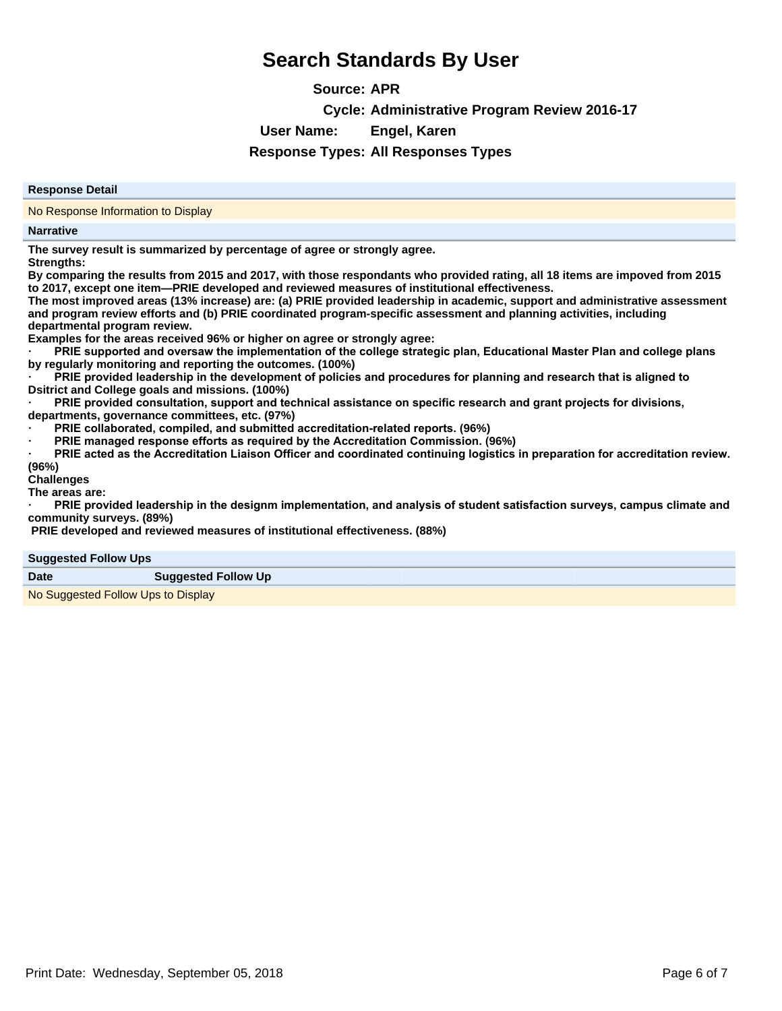**Source: APR Cycle: Administrative Program Review 2016-17 User Name: Engel, Karen**

**Response Types: All Responses Types**

#### **Response Detail**

No Response Information to Display

#### **Narrative**

**The survey result is summarized by percentage of agree or strongly agree. Strengths:**

**By comparing the results from 2015 and 2017, with those respondants who provided rating, all 18 items are impoved from 2015** to 2017, except one item-PRIE developed and reviewed measures of institutional effectiveness.

**The most improved areas (13% increase) are: (a) PRIE provided leadership in academic, support and administrative assessment and program review efforts and (b) PRIE coordinated program-specific assessment and planning activities, including departmental program review.**

**Examples for the areas received 96% or higher on agree or strongly agree:** 

PRIE supported and oversaw the implementation of the college strategic plan, Educational Master Plan and college plans **by regularly monitoring and reporting the outcomes. (100%)**

PRIE provided leadership in the development of policies and procedures for planning and research that is aligned to **Dsitrict and College goals and missions. (100%)**

PRIE provided consultation, support and technical assistance on specific research and grant projects for divisions, **departments, governance committees, etc. (97%)**

**PRIE** collaborated, compiled, and submitted accreditation-related reports. (96%)

**PRIE** managed response efforts as required by the Accreditation Commission. (96%)

**PRIE acted as the Accreditation Liaison Officer and coordinated continuing logistics in preparation for accreditation review.** 

**(96%) Challenges**

**The areas are:**

PRIE provided leadership in the designm implementation, and analysis of student satisfaction surveys, campus climate and **community surveys. (89%)**

 **PRIE developed and reviewed measures of institutional effectiveness. (88%)**

#### **Suggested Follow Ups**

| <b>Date</b><br><b>Suggested Follow Up</b> |  |
|-------------------------------------------|--|
|-------------------------------------------|--|

No Suggested Follow Ups to Display